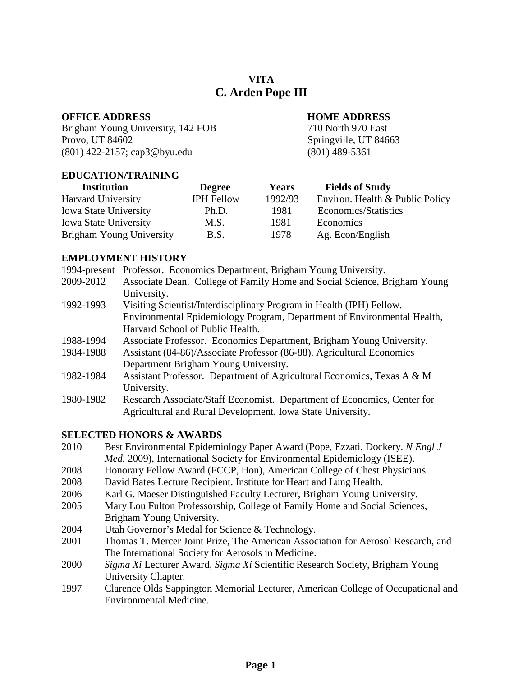# **VITA C. Arden Pope III**

# **OFFICE ADDRESS HOME ADDRESS**

Brigham Young University, 142 FOB 710 North 970 East Provo, UT 84602 Springville, UT 84663 (801) 422-2157; cap3@byu.edu (801) 489-5361

# **EDUCATION/TRAINING**

| <b>Degree</b>     | <b>Years</b> | <b>Fields of Study</b>          |
|-------------------|--------------|---------------------------------|
| <b>IPH Fellow</b> | 1992/93      | Environ. Health & Public Policy |
| Ph.D.             | 1981         | Economics/Statistics            |
| M.S.              | 1981         | Economics                       |
| B.S.              | 1978         | Ag. Econ/English                |
|                   |              |                                 |

# **EMPLOYMENT HISTORY**

|           | 1994-present Professor. Economics Department, Brigham Young University.  |
|-----------|--------------------------------------------------------------------------|
| 2009-2012 | Associate Dean. College of Family Home and Social Science, Brigham Young |
|           | University.                                                              |
| 1992-1993 | Visiting Scientist/Interdisciplinary Program in Health (IPH) Fellow.     |
|           | Environmental Epidemiology Program, Department of Environmental Health,  |
|           | Harvard School of Public Health.                                         |
| 1988-1994 | Associate Professor. Economics Department, Brigham Young University.     |
| 1984-1988 | Assistant (84-86)/Associate Professor (86-88). Agricultural Economics    |
|           | Department Brigham Young University.                                     |
| 1982-1984 | Assistant Professor. Department of Agricultural Economics, Texas A & M   |
|           | University.                                                              |
| 1980-1982 | Research Associate/Staff Economist. Department of Economics, Center for  |
|           | Agricultural and Rural Development, Iowa State University.               |

# **SELECTED HONORS & AWARDS**

- 2010 Best Environmental Epidemiology Paper Award (Pope, Ezzati, Dockery. *N Engl J Med.* 2009), International Society for Environmental Epidemiology (ISEE).
- 2008 Honorary Fellow Award (FCCP, Hon), American College of Chest Physicians.
- 2008 David Bates Lecture Recipient. Institute for Heart and Lung Health.
- 2006 Karl G. Maeser Distinguished Faculty Lecturer, Brigham Young University.
- 2005 Mary Lou Fulton Professorship, College of Family Home and Social Sciences, Brigham Young University.
- 2004 Utah Governor's Medal for Science & Technology.
- 2001 Thomas T. Mercer Joint Prize, The American Association for Aerosol Research, and The International Society for Aerosols in Medicine.
- 2000 *Sigma Xi* Lecturer Award, *Sigma Xi* Scientific Research Society, Brigham Young University Chapter.
- 1997 Clarence Olds Sappington Memorial Lecturer, American College of Occupational and Environmental Medicine.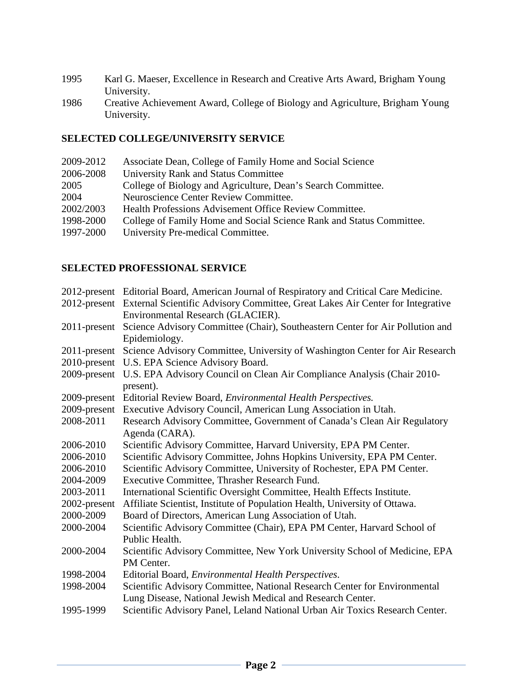- 1995 Karl G. Maeser, Excellence in Research and Creative Arts Award, Brigham Young University.
- 1986 Creative Achievement Award, College of Biology and Agriculture, Brigham Young University.

# **SELECTED COLLEGE/UNIVERSITY SERVICE**

| 2009-2012 | Associate Dean, College of Family Home and Social Science            |
|-----------|----------------------------------------------------------------------|
| 2006-2008 | University Rank and Status Committee                                 |
| 2005      | College of Biology and Agriculture, Dean's Search Committee.         |
| 2004      | Neuroscience Center Review Committee.                                |
| 2002/2003 | Health Professions Advisement Office Review Committee.               |
| 1998-2000 | College of Family Home and Social Science Rank and Status Committee. |
| 1997-2000 | University Pre-medical Committee.                                    |
|           |                                                                      |

# **SELECTED PROFESSIONAL SERVICE**

|                 | 2012-present Editorial Board, American Journal of Respiratory and Critical Care Medicine.   |
|-----------------|---------------------------------------------------------------------------------------------|
|                 | 2012-present External Scientific Advisory Committee, Great Lakes Air Center for Integrative |
|                 | Environmental Research (GLACIER).                                                           |
| $2011$ -present | Science Advisory Committee (Chair), Southeastern Center for Air Pollution and               |
|                 | Epidemiology.                                                                               |
| $2011$ -present | Science Advisory Committee, University of Washington Center for Air Research                |
| $2010$ -present | U.S. EPA Science Advisory Board.                                                            |
| 2009-present    | U.S. EPA Advisory Council on Clean Air Compliance Analysis (Chair 2010-                     |
|                 | present).                                                                                   |
| 2009-present    | Editorial Review Board, <i>Environmental Health Perspectives</i> .                          |
| 2009-present    | Executive Advisory Council, American Lung Association in Utah.                              |
| 2008-2011       | Research Advisory Committee, Government of Canada's Clean Air Regulatory                    |
|                 | Agenda (CARA).                                                                              |
| 2006-2010       | Scientific Advisory Committee, Harvard University, EPA PM Center.                           |
| 2006-2010       | Scientific Advisory Committee, Johns Hopkins University, EPA PM Center.                     |
| 2006-2010       | Scientific Advisory Committee, University of Rochester, EPA PM Center.                      |
| 2004-2009       | Executive Committee, Thrasher Research Fund.                                                |
| 2003-2011       | International Scientific Oversight Committee, Health Effects Institute.                     |
| 2002-present    | Affiliate Scientist, Institute of Population Health, University of Ottawa.                  |
| 2000-2009       | Board of Directors, American Lung Association of Utah.                                      |
| 2000-2004       | Scientific Advisory Committee (Chair), EPA PM Center, Harvard School of                     |
|                 | Public Health.                                                                              |
| 2000-2004       | Scientific Advisory Committee, New York University School of Medicine, EPA                  |
|                 | PM Center.                                                                                  |
| 1998-2004       | Editorial Board, Environmental Health Perspectives.                                         |
| 1998-2004       | Scientific Advisory Committee, National Research Center for Environmental                   |
|                 | Lung Disease, National Jewish Medical and Research Center.                                  |
| 1995-1999       | Scientific Advisory Panel, Leland National Urban Air Toxics Research Center.                |
|                 |                                                                                             |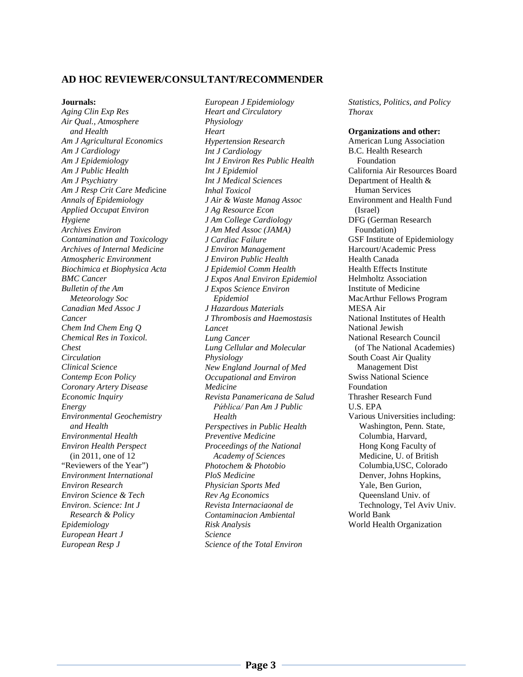#### **AD HOC REVIEWER/CONSULTANT/RECOMMENDER**

#### **Journals:**

*Aging Clin Exp Res Air Qual., Atmosphere and Health Am J Agricultural Economics Am J Cardiology Am J Epidemiology Am J Public Health Am J Psychiatry Am J Resp Crit Care Med*icine *Annals of Epidemiology Applied Occupat Environ Hygiene Archives Environ Contamination and Toxicology Archives of Internal Medicine Atmospheric Environment Biochimica et Biophysica Acta BMC Cancer Bulletin of the Am Meteorology Soc Canadian Med Assoc J Cancer Chem Ind Chem Eng Q Chemical Res in Toxicol. Chest Circulation Clinical Science Contemp Econ Policy Coronary Artery Disease Economic Inquiry Energy Environmental Geochemistry and Health Environmental Health Environ Health Perspect* (in 2011, one of 12 "Reviewers of the Year") *Environment International Environ Research Environ Science & Tech Environ. Science: Int J Research & Policy Epidemiology European Heart J European Resp J*

*European J Epidemiology Heart and Circulatory Physiology Heart Hypertension Research Int J Cardiology Int J Environ Res Public Health Int J Epidemiol Int J Medical Sciences Inhal Toxicol J Air & Waste Manag Assoc J Ag Resource Econ J Am College Cardiology J Am Med Assoc (JAMA) J Cardiac Failure J Environ Management J Environ Public Health J Epidemiol Comm Health J Expos Anal Environ Epidemiol J Expos Science Environ Epidemiol J Hazardous Materials J Thrombosis and Haemostasis Lancet Lung Cancer Lung Cellular and Molecular Physiology New England Journal of Med Occupational and Environ Medicine Revista Panamericana de Salud Pứblica/ Pan Am J Public Health Perspectives in Public Health Preventive Medicine Proceedings of the National Academy of Sciences Photochem & Photobio PloS Medicine Physician Sports Med Rev Ag Economics Revista Internaciaonal de Contaminacion Ambiental Risk Analysis Science Science of the Total Environ*

*Statistics, Politics, and Policy Thorax*

**Organizations and other:** American Lung Association B.C. Health Research Foundation California Air Resources Board Department of Health & Human Services Environment and Health Fund (Israel) DFG (German Research Foundation) GSF Institute of Epidemiology Harcourt/Academic Press Health Canada Health Effects Institute Helmholtz Association Institute of Medicine MacArthur Fellows Program MESA Air National Institutes of Health National Jewish National Research Council (of The National Academies) South Coast Air Quality Management Dist Swiss National Science Foundation Thrasher Research Fund U.S. EPA Various Universities including: Washington, Penn. State, Columbia, Harvard, Hong Kong Faculty of Medicine, U. of British Columbia,USC, Colorado Denver, Johns Hopkins, Yale, Ben Gurion, Queensland Univ. of Technology, Tel Aviv Univ. World Bank World Health Organization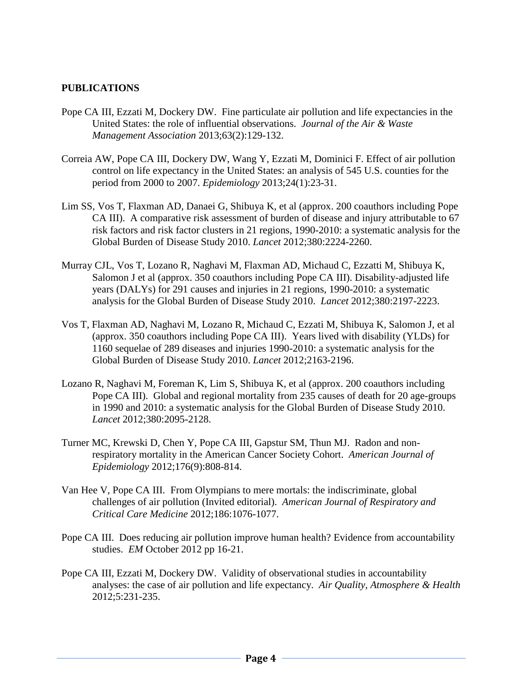# **PUBLICATIONS**

- Pope CA III, Ezzati M, Dockery DW. Fine particulate air pollution and life expectancies in the United States: the role of influential observations. *Journal of the Air & Waste Management Association* 2013;63(2):129-132.
- Correia AW, Pope CA III, Dockery DW, Wang Y, Ezzati M, Dominici F. Effect of air pollution control on life expectancy in the United States: an analysis of 545 U.S. counties for the period from 2000 to 2007. *Epidemiology* 2013;24(1):23-31.
- Lim SS, Vos T, Flaxman AD, Danaei G, Shibuya K, et al (approx. 200 coauthors including Pope CA III). A comparative risk assessment of burden of disease and injury attributable to 67 risk factors and risk factor clusters in 21 regions, 1990-2010: a systematic analysis for the Global Burden of Disease Study 2010. *Lancet* 2012;380:2224-2260.
- Murray CJL, Vos T, Lozano R, Naghavi M, Flaxman AD, Michaud C, Ezzatti M, Shibuya K, Salomon J et al (approx. 350 coauthors including Pope CA III). Disability-adjusted life years (DALYs) for 291 causes and injuries in 21 regions, 1990-2010: a systematic analysis for the Global Burden of Disease Study 2010. *Lancet* 2012;380:2197-2223.
- Vos T, Flaxman AD, Naghavi M, Lozano R, Michaud C, Ezzati M, Shibuya K, Salomon J, et al (approx. 350 coauthors including Pope CA III). Years lived with disability (YLDs) for 1160 sequelae of 289 diseases and injuries 1990-2010: a systematic analysis for the Global Burden of Disease Study 2010. *Lancet* 2012;2163-2196.
- Lozano R, Naghavi M, Foreman K, Lim S, Shibuya K, et al (approx. 200 coauthors including Pope CA III). Global and regional mortality from 235 causes of death for 20 age-groups in 1990 and 2010: a systematic analysis for the Global Burden of Disease Study 2010. *Lancet* 2012;380:2095-2128.
- Turner MC, Krewski D, Chen Y, Pope CA III, Gapstur SM, Thun MJ. Radon and nonrespiratory mortality in the American Cancer Society Cohort. *American Journal of Epidemiology* 2012;176(9):808-814.
- Van Hee V, Pope CA III. From Olympians to mere mortals: the indiscriminate, global challenges of air pollution (Invited editorial). *American Journal of Respiratory and Critical Care Medicine* 2012;186:1076-1077.
- Pope CA III. Does reducing air pollution improve human health? Evidence from accountability studies. *EM* October 2012 pp 16-21.
- Pope CA III, Ezzati M, Dockery DW. Validity of observational studies in accountability analyses: the case of air pollution and life expectancy. *Air Quality, Atmosphere & Health* 2012;5:231-235.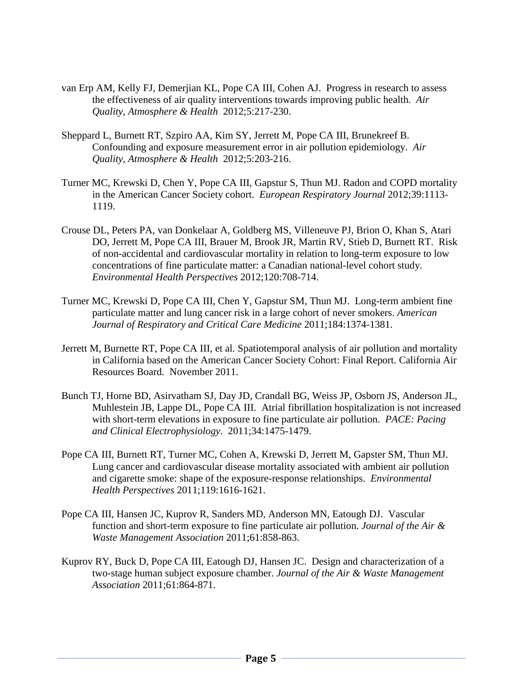- van Erp AM, Kelly FJ, Demerjian KL, Pope CA III, Cohen AJ. Progress in research to assess the effectiveness of air quality interventions towards improving public health. *Air Quality, Atmosphere & Health* 2012;5:217-230.
- Sheppard L, Burnett RT, Szpiro AA, Kim SY, Jerrett M, Pope CA III, Brunekreef B. Confounding and exposure measurement error in air pollution epidemiology. *Air Quality, Atmosphere & Health* 2012;5:203-216.
- Turner MC, Krewski D, Chen Y, Pope CA III, Gapstur S, Thun MJ. Radon and COPD mortality in the American Cancer Society cohort. *European Respiratory Journal* 2012;39:1113- 1119.
- Crouse DL, Peters PA, van Donkelaar A, Goldberg MS, Villeneuve PJ, Brion O, Khan S, Atari DO, Jerrett M, Pope CA III, Brauer M, Brook JR, Martin RV, Stieb D, Burnett RT. Risk of non-accidental and cardiovascular mortality in relation to long-term exposure to low concentrations of fine particulate matter: a Canadian national-level cohort study. *Environmental Health Perspectives* 2012;120:708-714.
- Turner MC, Krewski D, Pope CA III, Chen Y, Gapstur SM, Thun MJ. Long-term ambient fine particulate matter and lung cancer risk in a large cohort of never smokers. *American Journal of Respiratory and Critical Care Medicine* 2011;184:1374-1381.
- Jerrett M, Burnette RT, Pope CA III, et al. Spatiotemporal analysis of air pollution and mortality in California based on the American Cancer Society Cohort: Final Report. California Air Resources Board. November 2011.
- Bunch TJ, Horne BD, Asirvatham SJ, Day JD, Crandall BG, Weiss JP, Osborn JS, Anderson JL, Muhlestein JB, Lappe DL, Pope CA III. Atrial fibrillation hospitalization is not increased with short-term elevations in exposure to fine particulate air pollution. *PACE: Pacing and Clinical Electrophysiology*. 2011;34:1475-1479.
- Pope CA III, Burnett RT, Turner MC, Cohen A, Krewski D, Jerrett M, Gapster SM, Thun MJ. Lung cancer and cardiovascular disease mortality associated with ambient air pollution and cigarette smoke: shape of the exposure-response relationships. *Environmental Health Perspectives* 2011;119:1616-1621.
- Pope CA III, Hansen JC, Kuprov R, Sanders MD, Anderson MN, Eatough DJ. Vascular function and short-term exposure to fine particulate air pollution. *Journal of the Air & Waste Management Association* 2011;61:858-863.
- Kuprov RY, Buck D, Pope CA III, Eatough DJ, Hansen JC. Design and characterization of a two-stage human subject exposure chamber. *Journal of the Air & Waste Management Association* 2011;61:864-871.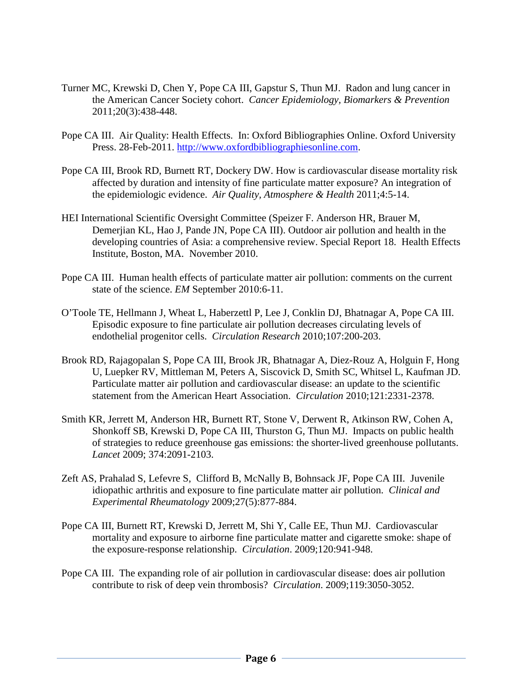- Turner MC, Krewski D, Chen Y, Pope CA III, Gapstur S, Thun MJ. Radon and lung cancer in the American Cancer Society cohort. *Cancer Epidemiology, Biomarkers & Prevention* 2011;20(3):438-448.
- Pope CA III. Air Quality: Health Effects. In: Oxford Bibliographies Online. Oxford University Press. 28-Feb-2011. [http://www.oxfordbibliographiesonline.com.](http://www.oxfordbibliographiesonline.com/)
- Pope CA III, Brook RD, Burnett RT, Dockery DW. How is cardiovascular disease mortality risk affected by duration and intensity of fine particulate matter exposure? An integration of the epidemiologic evidence. *Air Quality, Atmosphere & Health* 2011;4:5-14.
- HEI International Scientific Oversight Committee (Speizer F. Anderson HR, Brauer M, Demerjian KL, Hao J, Pande JN, Pope CA III). Outdoor air pollution and health in the developing countries of Asia: a comprehensive review. Special Report 18. Health Effects Institute, Boston, MA. November 2010.
- Pope CA III. Human health effects of particulate matter air pollution: comments on the current state of the science. *EM* September 2010:6-11.
- O'Toole TE, Hellmann J, Wheat L, Haberzettl P, Lee J, Conklin DJ, Bhatnagar A, Pope CA III. Episodic exposure to fine particulate air pollution decreases circulating levels of endothelial progenitor cells. *Circulation Research* 2010;107:200-203.
- Brook RD, Rajagopalan S, Pope CA III, Brook JR, Bhatnagar A, Diez-Rouz A, Holguin F, Hong U, Luepker RV, Mittleman M, Peters A, Siscovick D, Smith SC, Whitsel L, Kaufman JD. Particulate matter air pollution and cardiovascular disease: an update to the scientific statement from the American Heart Association. *Circulation* 2010;121:2331-2378.
- Smith KR, Jerrett M, Anderson HR, Burnett RT, Stone V, Derwent R, Atkinson RW, Cohen A, Shonkoff SB, Krewski D, Pope CA III, Thurston G, Thun MJ. Impacts on public health of strategies to reduce greenhouse gas emissions: the shorter-lived greenhouse pollutants. *Lancet* 2009; 374:2091-2103.
- Zeft AS, Prahalad S, Lefevre S, Clifford B, McNally B, Bohnsack JF, Pope CA III. Juvenile idiopathic arthritis and exposure to fine particulate matter air pollution. *Clinical and Experimental Rheumatology* 2009;27(5):877-884.
- Pope CA III, Burnett RT, Krewski D, Jerrett M, Shi Y, Calle EE, Thun MJ. Cardiovascular mortality and exposure to airborne fine particulate matter and cigarette smoke: shape of the exposure-response relationship. *Circulation*. 2009;120:941-948.
- Pope CA III. The expanding role of air pollution in cardiovascular disease: does air pollution contribute to risk of deep vein thrombosis? *Circulation*. 2009;119:3050-3052.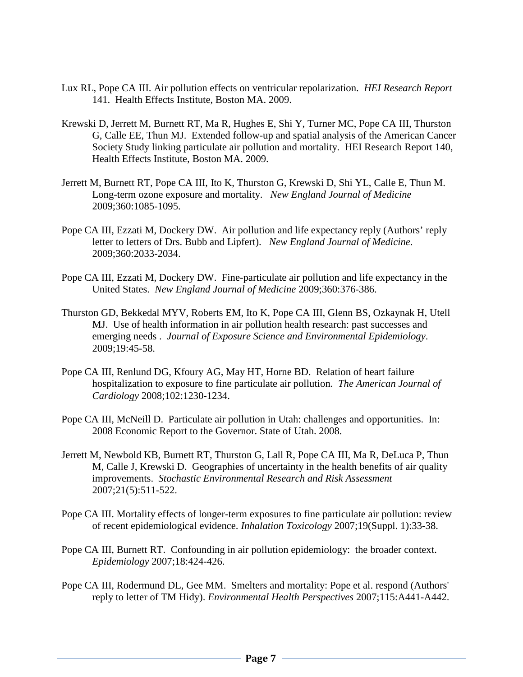- Lux RL, Pope CA III. Air pollution effects on ventricular repolarization. *HEI Research Report* 141. Health Effects Institute, Boston MA. 2009.
- Krewski D, Jerrett M, Burnett RT, Ma R, Hughes E, Shi Y, Turner MC, Pope CA III, Thurston G, Calle EE, Thun MJ. Extended follow-up and spatial analysis of the American Cancer Society Study linking particulate air pollution and mortality. HEI Research Report 140, Health Effects Institute, Boston MA. 2009.
- Jerrett M, Burnett RT, Pope CA III, Ito K, Thurston G, Krewski D, Shi YL, Calle E, Thun M. Long-term ozone exposure and mortality. *New England Journal of Medicine*  2009;360:1085-1095.
- Pope CA III, Ezzati M, Dockery DW. Air pollution and life expectancy reply (Authors' reply letter to letters of Drs. Bubb and Lipfert). *New England Journal of Medicine*. 2009;360:2033-2034.
- Pope CA III, Ezzati M, Dockery DW. Fine-particulate air pollution and life expectancy in the United States. *New England Journal of Medicine* 2009;360:376-386.
- Thurston GD, Bekkedal MYV, Roberts EM, Ito K, Pope CA III, Glenn BS, Ozkaynak H, Utell MJ. Use of health information in air pollution health research: past successes and emerging needs . *Journal of Exposure Science and Environmental Epidemiology*. 2009;19:45-58.
- Pope CA III, Renlund DG, Kfoury AG, May HT, Horne BD. Relation of heart failure hospitalization to exposure to fine particulate air pollution. *The American Journal of Cardiology* 2008;102:1230-1234.
- Pope CA III, McNeill D. Particulate air pollution in Utah: challenges and opportunities. In: 2008 Economic Report to the Governor. State of Utah. 2008.
- Jerrett M, Newbold KB, Burnett RT, Thurston G, Lall R, Pope CA III, Ma R, DeLuca P, Thun M, Calle J, Krewski D. Geographies of uncertainty in the health benefits of air quality improvements. *Stochastic Environmental Research and Risk Assessment* 2007;21(5):511-522.
- Pope CA III. Mortality effects of longer-term exposures to fine particulate air pollution: review of recent epidemiological evidence. *Inhalation Toxicology* 2007;19(Suppl. 1):33-38.
- Pope CA III, Burnett RT. Confounding in air pollution epidemiology: the broader context. *Epidemiology* 2007;18:424-426.
- Pope CA III, Rodermund DL, Gee MM. Smelters and mortality: Pope et al. respond (Authors' reply to letter of TM Hidy). *Environmental Health Perspectives* 2007;115:A441-A442.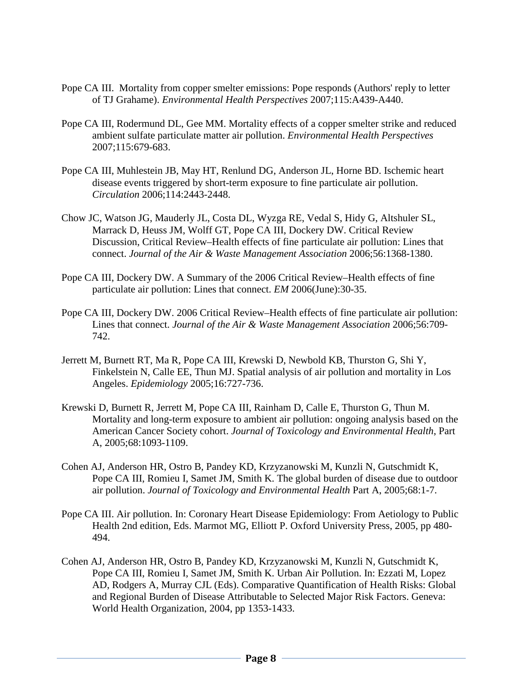- Pope CA III. Mortality from copper smelter emissions: Pope responds (Authors' reply to letter of TJ Grahame). *Environmental Health Perspectives* 2007;115:A439-A440.
- Pope CA III, Rodermund DL, Gee MM. Mortality effects of a copper smelter strike and reduced ambient sulfate particulate matter air pollution. *Environmental Health Perspectives* 2007;115:679-683.
- Pope CA III, Muhlestein JB, May HT, Renlund DG, Anderson JL, Horne BD. Ischemic heart disease events triggered by short-term exposure to fine particulate air pollution. *Circulation* 2006;114:2443-2448.
- Chow JC, Watson JG, Mauderly JL, Costa DL, Wyzga RE, Vedal S, Hidy G, Altshuler SL, Marrack D, Heuss JM, Wolff GT, Pope CA III, Dockery DW. Critical Review Discussion, Critical Review–Health effects of fine particulate air pollution: Lines that connect. *Journal of the Air & Waste Management Association* 2006;56:1368-1380.
- Pope CA III, Dockery DW. A Summary of the 2006 Critical Review–Health effects of fine particulate air pollution: Lines that connect. *EM* 2006(June):30-35.
- Pope CA III, Dockery DW. 2006 Critical Review–Health effects of fine particulate air pollution: Lines that connect. *Journal of the Air & Waste Management Association* 2006;56:709- 742.
- Jerrett M, Burnett RT, Ma R, Pope CA III, Krewski D, Newbold KB, Thurston G, Shi Y, Finkelstein N, Calle EE, Thun MJ. Spatial analysis of air pollution and mortality in Los Angeles. *Epidemiology* 2005;16:727-736.
- Krewski D, Burnett R, Jerrett M, Pope CA III, Rainham D, Calle E, Thurston G, Thun M. Mortality and long-term exposure to ambient air pollution: ongoing analysis based on the American Cancer Society cohort. *Journal of Toxicology and Environmental Health*, Part A, 2005;68:1093-1109.
- Cohen AJ, Anderson HR, Ostro B, Pandey KD, Krzyzanowski M, Kunzli N, Gutschmidt K, Pope CA III, Romieu I, Samet JM, Smith K. The global burden of disease due to outdoor air pollution. *Journal of Toxicology and Environmental Health* Part A, 2005;68:1-7.
- Pope CA III. Air pollution. In: Coronary Heart Disease Epidemiology: From Aetiology to Public Health 2nd edition, Eds. Marmot MG, Elliott P. Oxford University Press, 2005, pp 480- 494.
- Cohen AJ, Anderson HR, Ostro B, Pandey KD, Krzyzanowski M, Kunzli N, Gutschmidt K, Pope CA III, Romieu I, Samet JM, Smith K. Urban Air Pollution. In: Ezzati M, Lopez AD, Rodgers A, Murray CJL (Eds). Comparative Quantification of Health Risks: Global and Regional Burden of Disease Attributable to Selected Major Risk Factors. Geneva: World Health Organization, 2004, pp 1353-1433.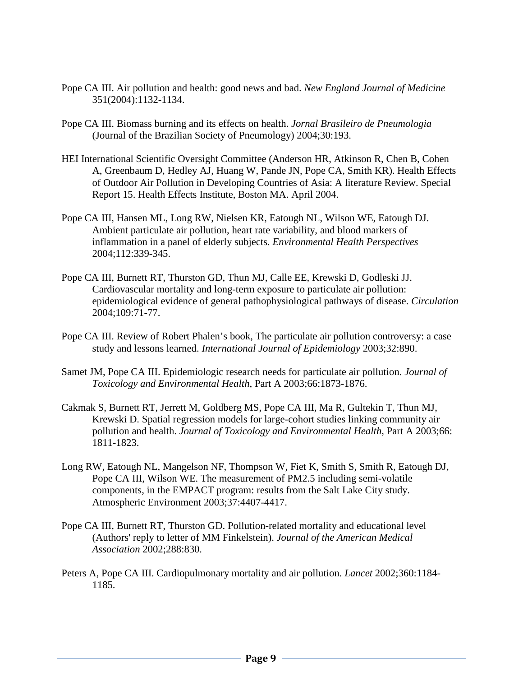- Pope CA III. Air pollution and health: good news and bad. *New England Journal of Medicine*  351(2004):1132-1134.
- Pope CA III. Biomass burning and its effects on health. *Jornal Brasileiro de Pneumologia* (Journal of the Brazilian Society of Pneumology) 2004;30:193.
- HEI International Scientific Oversight Committee (Anderson HR, Atkinson R, Chen B, Cohen A, Greenbaum D, Hedley AJ, Huang W, Pande JN, Pope CA, Smith KR). Health Effects of Outdoor Air Pollution in Developing Countries of Asia: A literature Review. Special Report 15. Health Effects Institute, Boston MA. April 2004.
- Pope CA III, Hansen ML, Long RW, Nielsen KR, Eatough NL, Wilson WE, Eatough DJ. Ambient particulate air pollution, heart rate variability, and blood markers of inflammation in a panel of elderly subjects. *Environmental Health Perspectives* 2004;112:339-345.
- Pope CA III, Burnett RT, Thurston GD, Thun MJ, Calle EE, Krewski D, Godleski JJ. Cardiovascular mortality and long-term exposure to particulate air pollution: epidemiological evidence of general pathophysiological pathways of disease. *Circulation* 2004;109:71-77.
- Pope CA III. Review of Robert Phalen's book, The particulate air pollution controversy: a case study and lessons learned. *International Journal of Epidemiology* 2003;32:890.
- Samet JM, Pope CA III. Epidemiologic research needs for particulate air pollution. *Journal of Toxicology and Environmental Health*, Part A 2003;66:1873-1876.
- Cakmak S, Burnett RT, Jerrett M, Goldberg MS, Pope CA III, Ma R, Gultekin T, Thun MJ, Krewski D. Spatial regression models for large-cohort studies linking community air pollution and health. *Journal of Toxicology and Environmental Health*, Part A 2003;66: 1811-1823.
- Long RW, Eatough NL, Mangelson NF, Thompson W, Fiet K, Smith S, Smith R, Eatough DJ, Pope CA III, Wilson WE. The measurement of PM2.5 including semi-volatile components, in the EMPACT program: results from the Salt Lake City study. Atmospheric Environment 2003;37:4407-4417.
- Pope CA III, Burnett RT, Thurston GD. Pollution-related mortality and educational level (Authors' reply to letter of MM Finkelstein). *Journal of the American Medical Association* 2002;288:830.
- Peters A, Pope CA III. Cardiopulmonary mortality and air pollution. *Lancet* 2002;360:1184- 1185.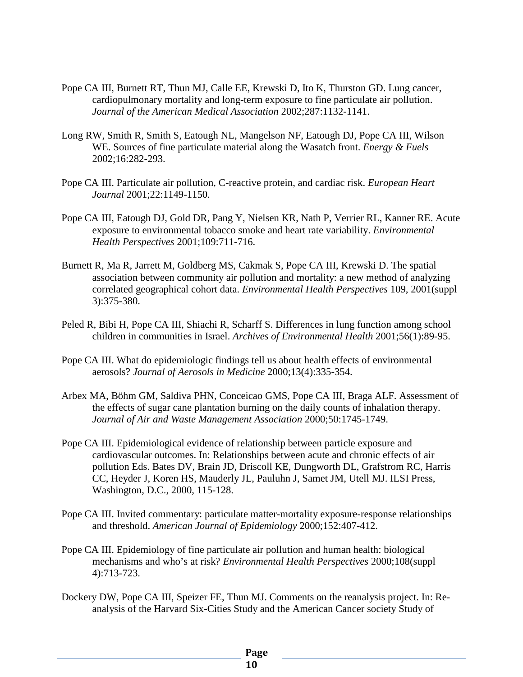- Pope CA III, Burnett RT, Thun MJ, Calle EE, Krewski D, Ito K, Thurston GD. Lung cancer, cardiopulmonary mortality and long-term exposure to fine particulate air pollution. *Journal of the American Medical Association* 2002;287:1132-1141.
- Long RW, Smith R, Smith S, Eatough NL, Mangelson NF, Eatough DJ, Pope CA III, Wilson WE. Sources of fine particulate material along the Wasatch front. *Energy & Fuels* 2002;16:282-293.
- Pope CA III. Particulate air pollution, C-reactive protein, and cardiac risk. *European Heart Journal* 2001;22:1149-1150.
- Pope CA III, Eatough DJ, Gold DR, Pang Y, Nielsen KR, Nath P, Verrier RL, Kanner RE. Acute exposure to environmental tobacco smoke and heart rate variability. *Environmental Health Perspectives* 2001;109:711-716.
- Burnett R, Ma R, Jarrett M, Goldberg MS, Cakmak S, Pope CA III, Krewski D. The spatial association between community air pollution and mortality: a new method of analyzing correlated geographical cohort data. *Environmental Health Perspectives* 109, 2001(suppl 3):375-380.
- Peled R, Bibi H, Pope CA III, Shiachi R, Scharff S. Differences in lung function among school children in communities in Israel. *Archives of Environmental Health* 2001;56(1):89-95.
- Pope CA III. What do epidemiologic findings tell us about health effects of environmental aerosols? *Journal of Aerosols in Medicine* 2000;13(4):335-354.
- Arbex MA, Böhm GM, Saldiva PHN, Conceicao GMS, Pope CA III, Braga ALF. Assessment of the effects of sugar cane plantation burning on the daily counts of inhalation therapy. *Journal of Air and Waste Management Association* 2000;50:1745-1749.
- Pope CA III. Epidemiological evidence of relationship between particle exposure and cardiovascular outcomes. In: Relationships between acute and chronic effects of air pollution Eds. Bates DV, Brain JD, Driscoll KE, Dungworth DL, Grafstrom RC, Harris CC, Heyder J, Koren HS, Mauderly JL, Pauluhn J, Samet JM, Utell MJ. ILSI Press, Washington, D.C., 2000, 115-128.
- Pope CA III. Invited commentary: particulate matter-mortality exposure-response relationships and threshold. *American Journal of Epidemiology* 2000;152:407-412.
- Pope CA III. Epidemiology of fine particulate air pollution and human health: biological mechanisms and who's at risk? *Environmental Health Perspectives* 2000;108(suppl 4):713-723.
- Dockery DW, Pope CA III, Speizer FE, Thun MJ. Comments on the reanalysis project. In: Reanalysis of the Harvard Six-Cities Study and the American Cancer society Study of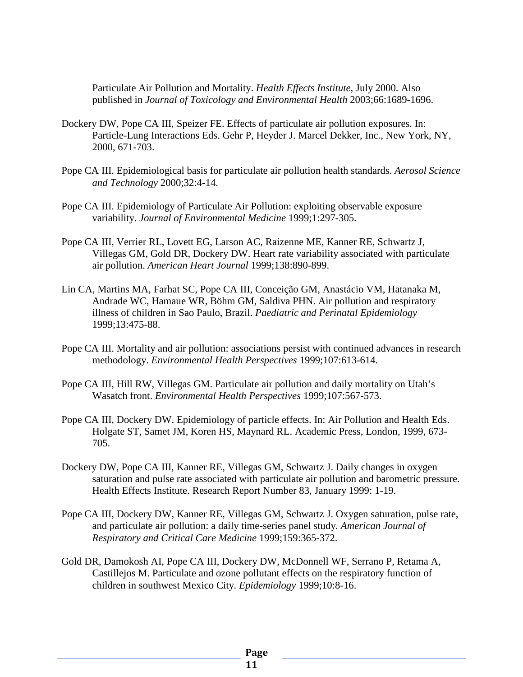Particulate Air Pollution and Mortality. *Health Effects Institute*, July 2000. Also published in *Journal of Toxicology and Environmental Health* 2003;66:1689-1696.

- Dockery DW, Pope CA III, Speizer FE. Effects of particulate air pollution exposures. In: Particle-Lung Interactions Eds. Gehr P, Heyder J. Marcel Dekker, Inc., New York, NY, 2000, 671-703.
- Pope CA III. Epidemiological basis for particulate air pollution health standards. *Aerosol Science and Technology* 2000;32:4-14.
- Pope CA III. Epidemiology of Particulate Air Pollution: exploiting observable exposure variability. *Journal of Environmental Medicine* 1999;1:297-305.
- Pope CA III, Verrier RL, Lovett EG, Larson AC, Raizenne ME, Kanner RE, Schwartz J, Villegas GM, Gold DR, Dockery DW. Heart rate variability associated with particulate air pollution. *American Heart Journal* 1999;138:890-899.
- Lin CA, Martins MA, Farhat SC, Pope CA III, Conceição GM, Anastácio VM, Hatanaka M, Andrade WC, Hamaue WR, Böhm GM, Saldiva PHN. Air pollution and respiratory illness of children in Sao Paulo, Brazil. *Paediatric and Perinatal Epidemiology* 1999;13:475-88.
- Pope CA III. Mortality and air pollution: associations persist with continued advances in research methodology. *Environmental Health Perspectives* 1999;107:613-614.
- Pope CA III, Hill RW, Villegas GM. Particulate air pollution and daily mortality on Utah's Wasatch front. *Environmental Health Perspectives* 1999;107:567-573.
- Pope CA III, Dockery DW. Epidemiology of particle effects. In: Air Pollution and Health Eds. Holgate ST, Samet JM, Koren HS, Maynard RL. Academic Press, London, 1999, 673- 705.
- Dockery DW, Pope CA III, Kanner RE, Villegas GM, Schwartz J. Daily changes in oxygen saturation and pulse rate associated with particulate air pollution and barometric pressure. Health Effects Institute. Research Report Number 83, January 1999: 1-19.
- Pope CA III, Dockery DW, Kanner RE, Villegas GM, Schwartz J. Oxygen saturation, pulse rate, and particulate air pollution: a daily time-series panel study*. American Journal of Respiratory and Critical Care Medicine* 1999;159:365-372.
- Gold DR, Damokosh AI, Pope CA III, Dockery DW, McDonnell WF, Serrano P, Retama A, Castillejos M. Particulate and ozone pollutant effects on the respiratory function of children in southwest Mexico City. *Epidemiology* 1999;10:8-16.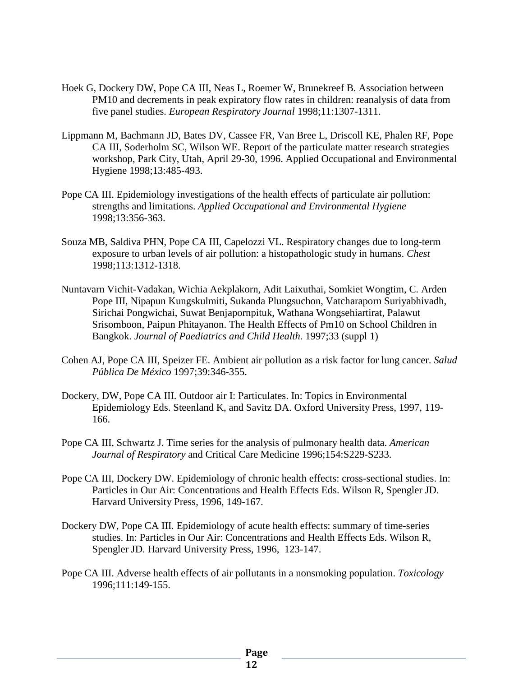- Hoek G, Dockery DW, Pope CA III, Neas L, Roemer W, Brunekreef B. Association between PM10 and decrements in peak expiratory flow rates in children: reanalysis of data from five panel studies. *European Respiratory Journal* 1998;11:1307-1311.
- Lippmann M, Bachmann JD, Bates DV, Cassee FR, Van Bree L, Driscoll KE, Phalen RF, Pope CA III, Soderholm SC, Wilson WE. Report of the particulate matter research strategies workshop, Park City, Utah, April 29-30, 1996. Applied Occupational and Environmental Hygiene 1998;13:485-493.
- Pope CA III. Epidemiology investigations of the health effects of particulate air pollution: strengths and limitations. *Applied Occupational and Environmental Hygiene* 1998;13:356-363.
- Souza MB, Saldiva PHN, Pope CA III, Capelozzi VL. Respiratory changes due to long-term exposure to urban levels of air pollution: a histopathologic study in humans. *Chest* 1998;113:1312-1318.
- Nuntavarn Vichit-Vadakan, Wichia Aekplakorn, Adit Laixuthai, Somkiet Wongtim, C. Arden Pope III, Nipapun Kungskulmiti, Sukanda Plungsuchon, Vatcharaporn Suriyabhivadh, Sirichai Pongwichai, Suwat Benjapornpituk, Wathana Wongsehiartirat, Palawut Srisomboon, Paipun Phitayanon. The Health Effects of Pm10 on School Children in Bangkok. *Journal of Paediatrics and Child Health*. 1997;33 (suppl 1)
- Cohen AJ, Pope CA III, Speizer FE. Ambient air pollution as a risk factor for lung cancer. *Salud Pública De México* 1997;39:346-355.
- Dockery, DW, Pope CA III. Outdoor air I: Particulates. In: Topics in Environmental Epidemiology Eds. Steenland K, and Savitz DA. Oxford University Press, 1997, 119- 166.
- Pope CA III, Schwartz J. Time series for the analysis of pulmonary health data. *American Journal of Respiratory* and Critical Care Medicine 1996;154:S229-S233.
- Pope CA III, Dockery DW. Epidemiology of chronic health effects: cross-sectional studies. In: Particles in Our Air: Concentrations and Health Effects Eds. Wilson R, Spengler JD. Harvard University Press, 1996, 149-167.
- Dockery DW, Pope CA III. Epidemiology of acute health effects: summary of time-series studies. In: Particles in Our Air: Concentrations and Health Effects Eds. Wilson R, Spengler JD. Harvard University Press, 1996, 123-147.
- Pope CA III. Adverse health effects of air pollutants in a nonsmoking population. *Toxicology* 1996;111:149-155.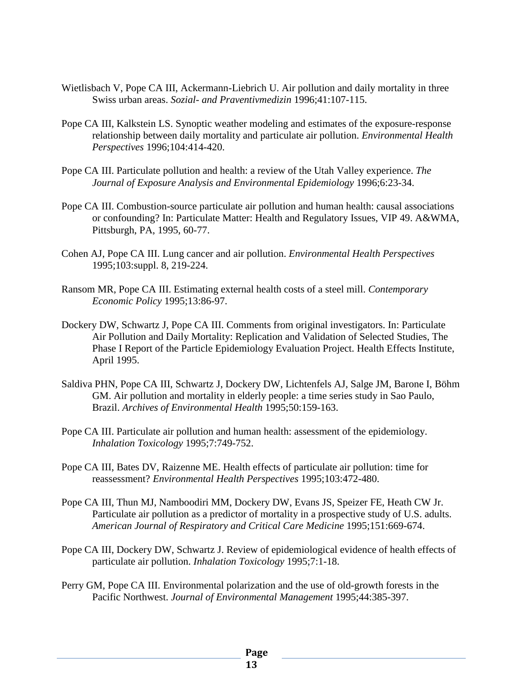- Wietlisbach V, Pope CA III, Ackermann-Liebrich U. Air pollution and daily mortality in three Swiss urban areas. *Sozial- and Praventivmedizin* 1996;41:107-115.
- Pope CA III, Kalkstein LS. Synoptic weather modeling and estimates of the exposure-response relationship between daily mortality and particulate air pollution. *Environmental Health Perspectives* 1996;104:414-420.
- Pope CA III. Particulate pollution and health: a review of the Utah Valley experience. *The Journal of Exposure Analysis and Environmental Epidemiology* 1996;6:23-34.
- Pope CA III. Combustion-source particulate air pollution and human health: causal associations or confounding? In: Particulate Matter: Health and Regulatory Issues, VIP 49. A&WMA, Pittsburgh, PA, 1995, 60-77.
- Cohen AJ, Pope CA III. Lung cancer and air pollution. *Environmental Health Perspectives* 1995;103:suppl. 8, 219-224.
- Ransom MR, Pope CA III. Estimating external health costs of a steel mill. *Contemporary Economic Policy* 1995;13:86-97.
- Dockery DW, Schwartz J, Pope CA III. Comments from original investigators. In: Particulate Air Pollution and Daily Mortality: Replication and Validation of Selected Studies, The Phase I Report of the Particle Epidemiology Evaluation Project. Health Effects Institute, April 1995.
- Saldiva PHN, Pope CA III, Schwartz J, Dockery DW, Lichtenfels AJ, Salge JM, Barone I, Böhm GM. Air pollution and mortality in elderly people: a time series study in Sao Paulo, Brazil. *Archives of Environmental Health* 1995;50:159-163.
- Pope CA III. Particulate air pollution and human health: assessment of the epidemiology. *Inhalation Toxicology* 1995;7:749-752.
- Pope CA III, Bates DV, Raizenne ME. Health effects of particulate air pollution: time for reassessment? *Environmental Health Perspectives* 1995;103:472-480.
- Pope CA III, Thun MJ, Namboodiri MM, Dockery DW, Evans JS, Speizer FE, Heath CW Jr. Particulate air pollution as a predictor of mortality in a prospective study of U.S. adults. *American Journal of Respiratory and Critical Care Medicine* 1995;151:669-674.
- Pope CA III, Dockery DW, Schwartz J. Review of epidemiological evidence of health effects of particulate air pollution. *Inhalation Toxicology* 1995;7:1-18.
- Perry GM, Pope CA III. Environmental polarization and the use of old-growth forests in the Pacific Northwest. *Journal of Environmental Management* 1995;44:385-397.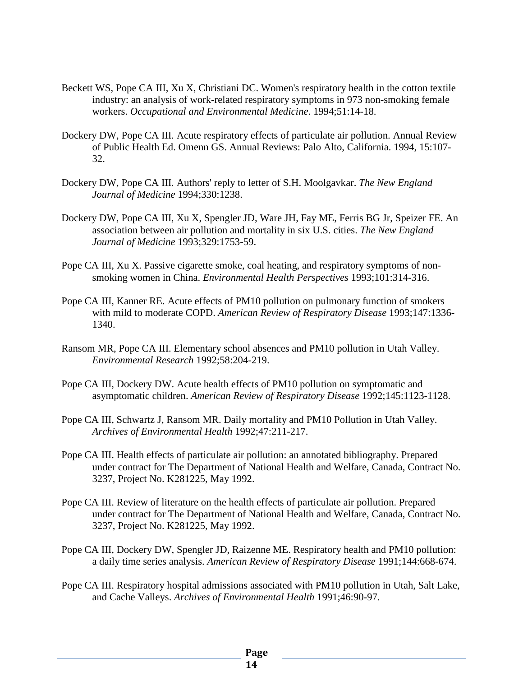- Beckett WS, Pope CA III, Xu X, Christiani DC. Women's respiratory health in the cotton textile industry: an analysis of work-related respiratory symptoms in 973 non-smoking female workers. *Occupational and Environmental Medicine*. 1994;51:14-18.
- Dockery DW, Pope CA III. Acute respiratory effects of particulate air pollution. Annual Review of Public Health Ed. Omenn GS. Annual Reviews: Palo Alto, California. 1994, 15:107- 32.
- Dockery DW, Pope CA III. Authors' reply to letter of S.H. Moolgavkar. *The New England Journal of Medicine* 1994;330:1238.
- Dockery DW, Pope CA III, Xu X, Spengler JD, Ware JH, Fay ME, Ferris BG Jr, Speizer FE. An association between air pollution and mortality in six U.S. cities. *The New England Journal of Medicine* 1993;329:1753-59.
- Pope CA III, Xu X. Passive cigarette smoke, coal heating, and respiratory symptoms of nonsmoking women in China. *Environmental Health Perspectives* 1993;101:314-316.
- Pope CA III, Kanner RE. Acute effects of PM10 pollution on pulmonary function of smokers with mild to moderate COPD. *American Review of Respiratory Disease* 1993;147:1336- 1340.
- Ransom MR, Pope CA III. Elementary school absences and PM10 pollution in Utah Valley. *Environmental Research* 1992;58:204-219.
- Pope CA III, Dockery DW. Acute health effects of PM10 pollution on symptomatic and asymptomatic children. *American Review of Respiratory Disease* 1992;145:1123-1128.
- Pope CA III, Schwartz J, Ransom MR. Daily mortality and PM10 Pollution in Utah Valley. *Archives of Environmental Health* 1992;47:211-217.
- Pope CA III. Health effects of particulate air pollution: an annotated bibliography. Prepared under contract for The Department of National Health and Welfare, Canada, Contract No. 3237, Project No. K281225, May 1992.
- Pope CA III. Review of literature on the health effects of particulate air pollution. Prepared under contract for The Department of National Health and Welfare, Canada, Contract No. 3237, Project No. K281225, May 1992.
- Pope CA III, Dockery DW, Spengler JD, Raizenne ME. Respiratory health and PM10 pollution: a daily time series analysis. *American Review of Respiratory Disease* 1991;144:668-674.
- Pope CA III. Respiratory hospital admissions associated with PM10 pollution in Utah, Salt Lake, and Cache Valleys. *Archives of Environmental Health* 1991;46:90-97.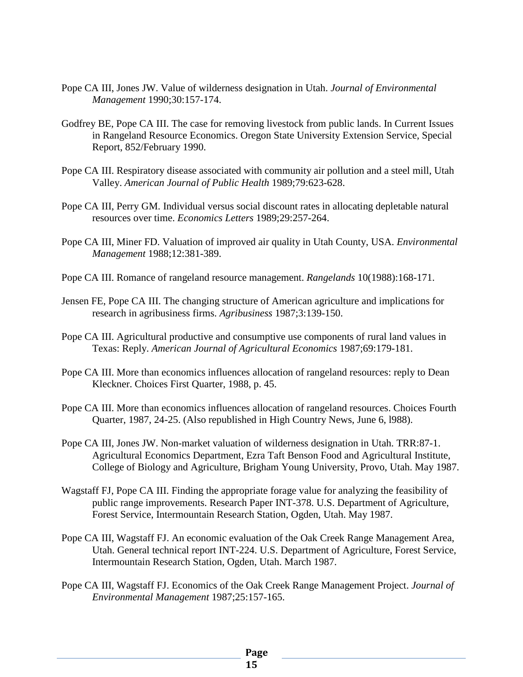- Pope CA III, Jones JW. Value of wilderness designation in Utah. *Journal of Environmental Management* 1990;30:157-174.
- Godfrey BE, Pope CA III. The case for removing livestock from public lands. In Current Issues in Rangeland Resource Economics. Oregon State University Extension Service, Special Report, 852/February 1990.
- Pope CA III. Respiratory disease associated with community air pollution and a steel mill, Utah Valley. *American Journal of Public Health* 1989;79:623-628.
- Pope CA III, Perry GM. Individual versus social discount rates in allocating depletable natural resources over time. *Economics Letters* 1989;29:257-264.
- Pope CA III, Miner FD. Valuation of improved air quality in Utah County, USA. *Environmental Management* 1988;12:381-389.
- Pope CA III. Romance of rangeland resource management. *Rangelands* 10(1988):168-171.
- Jensen FE, Pope CA III. The changing structure of American agriculture and implications for research in agribusiness firms. *Agribusiness* 1987;3:139-150.
- Pope CA III. Agricultural productive and consumptive use components of rural land values in Texas: Reply. *American Journal of Agricultural Economics* 1987;69:179-181.
- Pope CA III. More than economics influences allocation of rangeland resources: reply to Dean Kleckner. Choices First Quarter, 1988, p. 45.
- Pope CA III. More than economics influences allocation of rangeland resources. Choices Fourth Quarter, 1987, 24-25. (Also republished in High Country News, June 6, l988).
- Pope CA III, Jones JW. Non-market valuation of wilderness designation in Utah. TRR:87-1. Agricultural Economics Department, Ezra Taft Benson Food and Agricultural Institute, College of Biology and Agriculture, Brigham Young University, Provo, Utah. May 1987.
- Wagstaff FJ, Pope CA III. Finding the appropriate forage value for analyzing the feasibility of public range improvements. Research Paper INT-378. U.S. Department of Agriculture, Forest Service, Intermountain Research Station, Ogden, Utah. May 1987.
- Pope CA III, Wagstaff FJ. An economic evaluation of the Oak Creek Range Management Area, Utah. General technical report INT-224. U.S. Department of Agriculture, Forest Service, Intermountain Research Station, Ogden, Utah. March 1987.
- Pope CA III, Wagstaff FJ. Economics of the Oak Creek Range Management Project. *Journal of Environmental Management* 1987;25:157-165.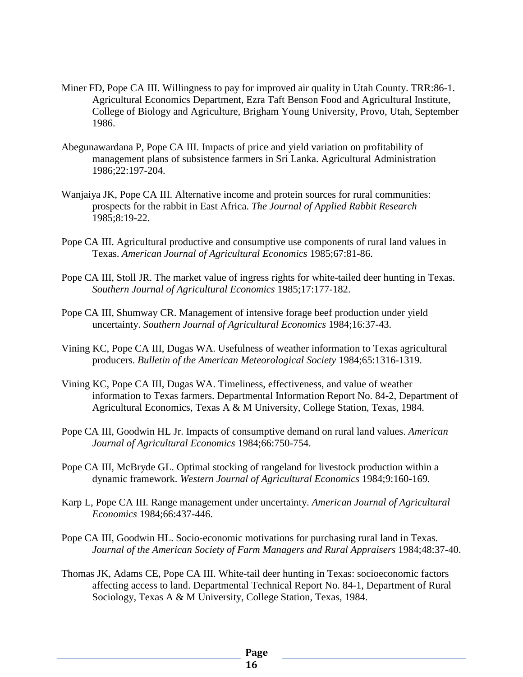- Miner FD, Pope CA III. Willingness to pay for improved air quality in Utah County. TRR:86-1. Agricultural Economics Department, Ezra Taft Benson Food and Agricultural Institute, College of Biology and Agriculture, Brigham Young University, Provo, Utah, September 1986.
- Abegunawardana P, Pope CA III. Impacts of price and yield variation on profitability of management plans of subsistence farmers in Sri Lanka. Agricultural Administration 1986;22:197-204.
- Wanjaiya JK, Pope CA III. Alternative income and protein sources for rural communities: prospects for the rabbit in East Africa. *The Journal of Applied Rabbit Research* 1985;8:19-22.
- Pope CA III. Agricultural productive and consumptive use components of rural land values in Texas. *American Journal of Agricultural Economics* 1985;67:81-86.
- Pope CA III, Stoll JR. The market value of ingress rights for white-tailed deer hunting in Texas. *Southern Journal of Agricultural Economics* 1985;17:177-182.
- Pope CA III, Shumway CR. Management of intensive forage beef production under yield uncertainty. *Southern Journal of Agricultural Economics* 1984;16:37-43.
- Vining KC, Pope CA III, Dugas WA. Usefulness of weather information to Texas agricultural producers. *Bulletin of the American Meteorological Society* 1984;65:1316-1319.
- Vining KC, Pope CA III, Dugas WA. Timeliness, effectiveness, and value of weather information to Texas farmers. Departmental Information Report No. 84-2, Department of Agricultural Economics, Texas A & M University, College Station, Texas, 1984.
- Pope CA III, Goodwin HL Jr. Impacts of consumptive demand on rural land values. *American Journal of Agricultural Economics* 1984;66:750-754.
- Pope CA III, McBryde GL. Optimal stocking of rangeland for livestock production within a dynamic framework. *Western Journal of Agricultural Economics* 1984;9:160-169.
- Karp L, Pope CA III. Range management under uncertainty. *American Journal of Agricultural Economics* 1984;66:437-446.
- Pope CA III, Goodwin HL. Socio-economic motivations for purchasing rural land in Texas. *Journal of the American Society of Farm Managers and Rural Appraisers* 1984;48:37-40.
- Thomas JK, Adams CE, Pope CA III. White-tail deer hunting in Texas: socioeconomic factors affecting access to land. Departmental Technical Report No. 84-1, Department of Rural Sociology, Texas A & M University, College Station, Texas, 1984.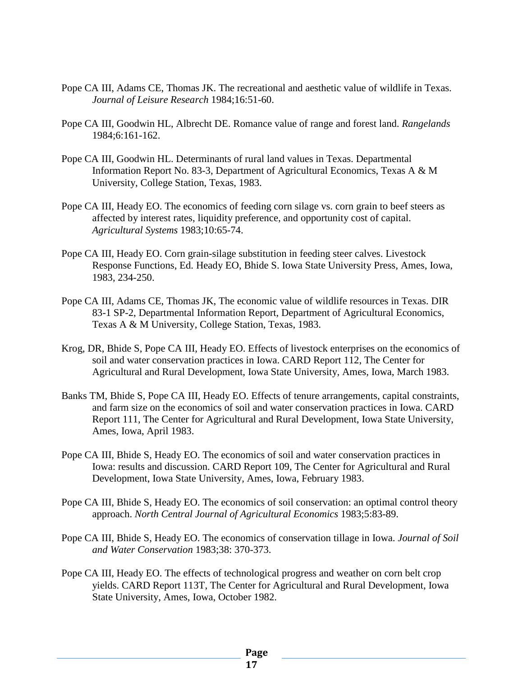- Pope CA III, Adams CE, Thomas JK. The recreational and aesthetic value of wildlife in Texas. *Journal of Leisure Research* 1984;16:51-60.
- Pope CA III, Goodwin HL, Albrecht DE. Romance value of range and forest land. *Rangelands* 1984;6:161-162.
- Pope CA III, Goodwin HL. Determinants of rural land values in Texas. Departmental Information Report No. 83-3, Department of Agricultural Economics, Texas A & M University, College Station, Texas, 1983.
- Pope CA III, Heady EO. The economics of feeding corn silage vs. corn grain to beef steers as affected by interest rates, liquidity preference, and opportunity cost of capital. *Agricultural Systems* 1983;10:65-74.
- Pope CA III, Heady EO. Corn grain-silage substitution in feeding steer calves. Livestock Response Functions, Ed. Heady EO, Bhide S. Iowa State University Press, Ames, Iowa, 1983, 234-250.
- Pope CA III, Adams CE, Thomas JK, The economic value of wildlife resources in Texas. DIR 83-1 SP-2, Departmental Information Report, Department of Agricultural Economics, Texas A & M University, College Station, Texas, 1983.
- Krog, DR, Bhide S, Pope CA III, Heady EO. Effects of livestock enterprises on the economics of soil and water conservation practices in Iowa. CARD Report 112, The Center for Agricultural and Rural Development, Iowa State University, Ames, Iowa, March 1983.
- Banks TM, Bhide S, Pope CA III, Heady EO. Effects of tenure arrangements, capital constraints, and farm size on the economics of soil and water conservation practices in Iowa. CARD Report 111, The Center for Agricultural and Rural Development, Iowa State University, Ames, Iowa, April 1983.
- Pope CA III, Bhide S, Heady EO. The economics of soil and water conservation practices in Iowa: results and discussion. CARD Report 109, The Center for Agricultural and Rural Development, Iowa State University, Ames, Iowa, February 1983.
- Pope CA III, Bhide S, Heady EO. The economics of soil conservation: an optimal control theory approach. *North Central Journal of Agricultural Economics* 1983;5:83-89.
- Pope CA III, Bhide S, Heady EO. The economics of conservation tillage in Iowa. *Journal of Soil and Water Conservation* 1983;38: 370-373.
- Pope CA III, Heady EO. The effects of technological progress and weather on corn belt crop yields. CARD Report 113T, The Center for Agricultural and Rural Development, Iowa State University, Ames, Iowa, October 1982.